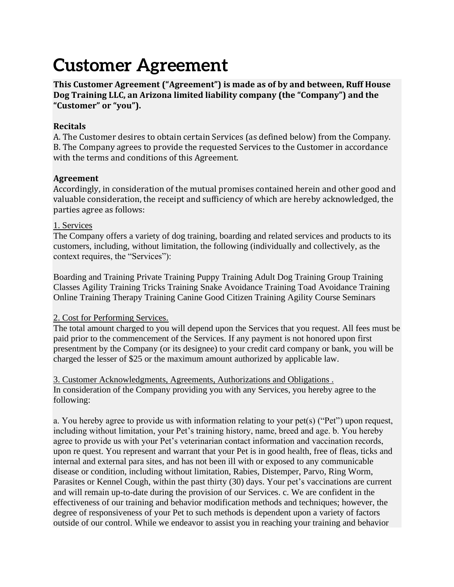# **Customer Agreement**

**This Customer Agreement ("Agreement") is made as of by and between, Ruff House Dog Training LLC, an Arizona limited liability company (the "Company") and the "Customer" or "you").**

#### **Recitals**

A. The Customer desires to obtain certain Services (as defined below) from the Company. B. The Company agrees to provide the requested Services to the Customer in accordance with the terms and conditions of this Agreement.

### **Agreement**

Accordingly, in consideration of the mutual promises contained herein and other good and valuable consideration, the receipt and sufficiency of which are hereby acknowledged, the parties agree as follows:

#### 1. Services

The Company offers a variety of dog training, boarding and related services and products to its customers, including, without limitation, the following (individually and collectively, as the context requires, the "Services"):

Boarding and Training Private Training Puppy Training Adult Dog Training Group Training Classes Agility Training Tricks Training Snake Avoidance Training Toad Avoidance Training Online Training Therapy Training Canine Good Citizen Training Agility Course Seminars

## 2. Cost for Performing Services.

The total amount charged to you will depend upon the Services that you request. All fees must be paid prior to the commencement of the Services. If any payment is not honored upon first presentment by the Company (or its designee) to your credit card company or bank, you will be charged the lesser of \$25 or the maximum amount authorized by applicable law.

3. Customer Acknowledgments, Agreements, Authorizations and Obligations . In consideration of the Company providing you with any Services, you hereby agree to the following:

a. You hereby agree to provide us with information relating to your pet(s) ("Pet") upon request, including without limitation, your Pet's training history, name, breed and age. b. You hereby agree to provide us with your Pet's veterinarian contact information and vaccination records, upon re quest. You represent and warrant that your Pet is in good health, free of fleas, ticks and internal and external para sites, and has not been ill with or exposed to any communicable disease or condition, including without limitation, Rabies, Distemper, Parvo, Ring Worm, Parasites or Kennel Cough, within the past thirty (30) days. Your pet's vaccinations are current and will remain up-to-date during the provision of our Services. c. We are confident in the effectiveness of our training and behavior modification methods and techniques; however, the degree of responsiveness of your Pet to such methods is dependent upon a variety of factors outside of our control. While we endeavor to assist you in reaching your training and behavior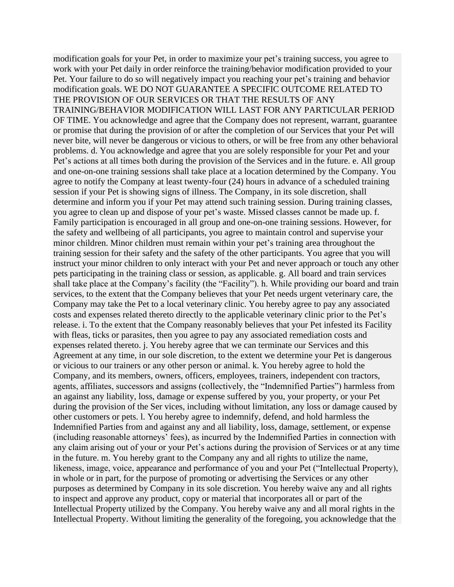modification goals for your Pet, in order to maximize your pet's training success, you agree to work with your Pet daily in order reinforce the training/behavior modification provided to your Pet. Your failure to do so will negatively impact you reaching your pet's training and behavior modification goals. WE DO NOT GUARANTEE A SPECIFIC OUTCOME RELATED TO THE PROVISION OF OUR SERVICES OR THAT THE RESULTS OF ANY TRAINING/BEHAVIOR MODIFICATION WILL LAST FOR ANY PARTICULAR PERIOD OF TIME. You acknowledge and agree that the Company does not represent, warrant, guarantee or promise that during the provision of or after the completion of our Services that your Pet will never bite, will never be dangerous or vicious to others, or will be free from any other behavioral problems. d. You acknowledge and agree that you are solely responsible for your Pet and your Pet's actions at all times both during the provision of the Services and in the future. e. All group and one-on-one training sessions shall take place at a location determined by the Company. You agree to notify the Company at least twenty-four (24) hours in advance of a scheduled training session if your Pet is showing signs of illness. The Company, in its sole discretion, shall determine and inform you if your Pet may attend such training session. During training classes, you agree to clean up and dispose of your pet's waste. Missed classes cannot be made up. f. Family participation is encouraged in all group and one-on-one training sessions. However, for the safety and wellbeing of all participants, you agree to maintain control and supervise your minor children. Minor children must remain within your pet's training area throughout the training session for their safety and the safety of the other participants. You agree that you will instruct your minor children to only interact with your Pet and never approach or touch any other pets participating in the training class or session, as applicable. g. All board and train services shall take place at the Company's facility (the "Facility"). h. While providing our board and train services, to the extent that the Company believes that your Pet needs urgent veterinary care, the Company may take the Pet to a local veterinary clinic. You hereby agree to pay any associated costs and expenses related thereto directly to the applicable veterinary clinic prior to the Pet's release. i. To the extent that the Company reasonably believes that your Pet infested its Facility with fleas, ticks or parasites, then you agree to pay any associated remediation costs and expenses related thereto. j. You hereby agree that we can terminate our Services and this Agreement at any time, in our sole discretion, to the extent we determine your Pet is dangerous or vicious to our trainers or any other person or animal. k. You hereby agree to hold the Company, and its members, owners, officers, employees, trainers, independent con tractors, agents, affiliates, successors and assigns (collectively, the "Indemnified Parties") harmless from an against any liability, loss, damage or expense suffered by you, your property, or your Pet during the provision of the Ser vices, including without limitation, any loss or damage caused by other customers or pets. l. You hereby agree to indemnify, defend, and hold harmless the Indemnified Parties from and against any and all liability, loss, damage, settlement, or expense (including reasonable attorneys' fees), as incurred by the Indemnified Parties in connection with any claim arising out of your or your Pet's actions during the provision of Services or at any time in the future. m. You hereby grant to the Company any and all rights to utilize the name, likeness, image, voice, appearance and performance of you and your Pet ("Intellectual Property), in whole or in part, for the purpose of promoting or advertising the Services or any other purposes as determined by Company in its sole discretion. You hereby waive any and all rights to inspect and approve any product, copy or material that incorporates all or part of the Intellectual Property utilized by the Company. You hereby waive any and all moral rights in the Intellectual Property. Without limiting the generality of the foregoing, you acknowledge that the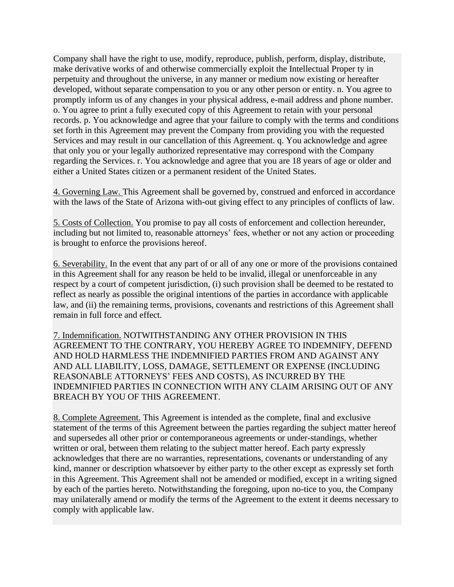Company shall have the right to use, modify, reproduce, publish, perform, display, distribute, make derivative works of and otherwise commercially exploit the Intellectual Proper ty in perpetuity and throughout the universe, in any manner or medium now existing or hereafter developed, without separate compensation to you or any other person or entity. n. You agree to promptly inform us of any changes in your physical address, e-mail address and phone number. o. You agree to print a fully executed copy of this Agreement to retain with your personal records. p. You acknowledge and agree that your failure to comply with the terms and conditions set forth in this Agreement may prevent the Company from providing you with the requested Services and may result in our cancellation of this Agreement. q. You acknowledge and agree that only you or your legally authorized representative may correspond with the Company regarding the Services. r. You acknowledge and agree that you are 18 years of age or older and either a United States citizen or a permanent resident of the United States.

4. Governing Law. This Agreement shall be governed by, construed and enforced in accordance with the laws of the State of Arizona with-out giving effect to any principles of conflicts of law.

5. Costs of Collection. You promise to pay all costs of enforcement and collection hereunder, including but not limited to, reasonable attorneys' fees, whether or not any action or proceeding is brought to enforce the provisions hereof.

6. Severability. In the event that any part of or all of any one or more of the provisions contained in this Agreement shall for any reason be held to be invalid, illegal or unenforceable in any respect by a court of competent jurisdiction, (i) such provision shall be deemed to be restated to reflect as nearly as possible the original intentions of the parties in accordance with applicable law, and (ii) the remaining terms, provisions, covenants and restrictions of this Agreement shall remain in full force and effect.

7. Indemnification. NOTWITHSTANDING ANY OTHER PROVISION IN THIS AGREEMENT TO THE CONTRARY, YOU HEREBY AGREE TO INDEMNIFY, DEFEND AND HOLD HARMLESS THE INDEMNIFIED PARTIES FROM AND AGAINST ANY AND ALL LIABILITY, LOSS, DAMAGE, SETTLEMENT OR EXPENSE (INCLUDING REASONABLE ATTORNEYS' FEES AND COSTS), AS INCURRED BY THE INDEMNIFIED PARTIES IN CONNECTION WITH ANY CLAIM ARISING OUT OF ANY BREACH BY YOU OF THIS AGREEMENT.

8. Complete Agreement. This Agreement is intended as the complete, final and exclusive statement of the terms of this Agreement between the parties regarding the subject matter hereof and supersedes all other prior or contemporaneous agreements or under-standings, whether written or oral, between them relating to the subject matter hereof. Each party expressly acknowledges that there are no warranties, representations, covenants or understanding of any kind, manner or description whatsoever by either party to the other except as expressly set forth in this Agreement. This Agreement shall not be amended or modified, except in a writing signed by each of the parties hereto. Notwithstanding the foregoing, upon no-tice to you, the Company may unilaterally amend or modify the terms of the Agreement to the extent it deems necessary to comply with applicable law.